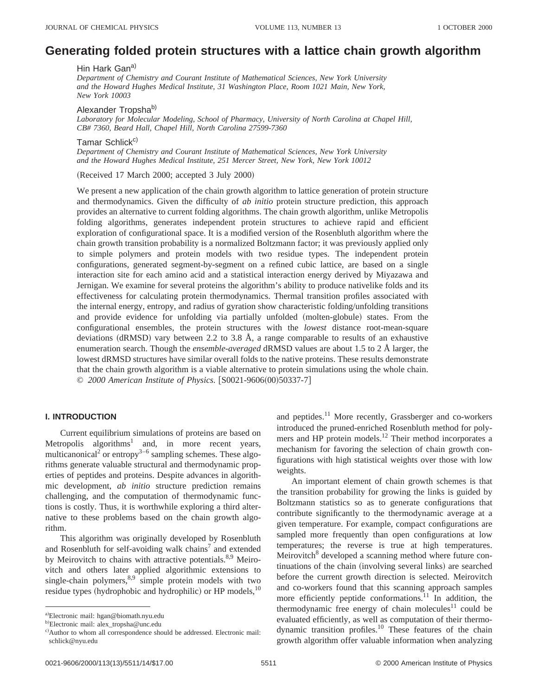# **Generating folded protein structures with a lattice chain growth algorithm**

Hin Hark Gan<sup>a)</sup>

*Department of Chemistry and Courant Institute of Mathematical Sciences, New York University and the Howard Hughes Medical Institute, 31 Washington Place, Room 1021 Main, New York, New York 10003*

Alexander Tropsha<sup>b)</sup>

*Laboratory for Molecular Modeling, School of Pharmacy, University of North Carolina at Chapel Hill, CB# 7360, Beard Hall, Chapel Hill, North Carolina 27599-7360*

Tamar Schlick<sup>c)</sup> *Department of Chemistry and Courant Institute of Mathematical Sciences, New York University and the Howard Hughes Medical Institute, 251 Mercer Street, New York, New York 10012*

(Received 17 March 2000; accepted 3 July 2000)

We present a new application of the chain growth algorithm to lattice generation of protein structure and thermodynamics. Given the difficulty of *ab initio* protein structure prediction, this approach provides an alternative to current folding algorithms. The chain growth algorithm, unlike Metropolis folding algorithms, generates independent protein structures to achieve rapid and efficient exploration of configurational space. It is a modified version of the Rosenbluth algorithm where the chain growth transition probability is a normalized Boltzmann factor; it was previously applied only to simple polymers and protein models with two residue types. The independent protein configurations, generated segment-by-segment on a refined cubic lattice, are based on a single interaction site for each amino acid and a statistical interaction energy derived by Miyazawa and Jernigan. We examine for several proteins the algorithm's ability to produce nativelike folds and its effectiveness for calculating protein thermodynamics. Thermal transition profiles associated with the internal energy, entropy, and radius of gyration show characteristic folding/unfolding transitions and provide evidence for unfolding via partially unfolded (molten-globule) states. From the configurational ensembles, the protein structures with the *lowest* distance root-mean-square deviations (dRMSD) vary between 2.2 to 3.8  $\AA$ , a range comparable to results of an exhaustive enumeration search. Though the *ensemble-averaged* dRMSD values are about 1.5 to 2 Å larger, the lowest dRMSD structures have similar overall folds to the native proteins. These results demonstrate that the chain growth algorithm is a viable alternative to protein simulations using the whole chain. © 2000 American Institute of Physics. [S0021-9606(00)50337-7]

## **I. INTRODUCTION**

Current equilibrium simulations of proteins are based on Metropolis algorithms<sup>1</sup> and, in more recent years, multicanonical<sup>2</sup> or entropy<sup>3-6</sup> sampling schemes. These algorithms generate valuable structural and thermodynamic properties of peptides and proteins. Despite advances in algorithmic development, *ab initio* structure prediction remains challenging, and the computation of thermodynamic functions is costly. Thus, it is worthwhile exploring a third alternative to these problems based on the chain growth algorithm.

This algorithm was originally developed by Rosenbluth and Rosenbluth for self-avoiding walk chains<sup>7</sup> and extended by Meirovitch to chains with attractive potentials.<sup>8,9</sup> Meirovitch and others later applied algorithmic extensions to single-chain polymers, $8.9 \text{ simple protein models with two}$ residue types (hydrophobic and hydrophilic) or HP models, $10$ 

and peptides.<sup>11</sup> More recently, Grassberger and co-workers introduced the pruned-enriched Rosenbluth method for polymers and HP protein models.12 Their method incorporates a mechanism for favoring the selection of chain growth configurations with high statistical weights over those with low weights.

An important element of chain growth schemes is that the transition probability for growing the links is guided by Boltzmann statistics so as to generate configurations that contribute significantly to the thermodynamic average at a given temperature. For example, compact configurations are sampled more frequently than open configurations at low temperatures; the reverse is true at high temperatures. Meirovitch<sup>8</sup> developed a scanning method where future continuations of the chain (involving several links) are searched before the current growth direction is selected. Meirovitch and co-workers found that this scanning approach samples more efficiently peptide conformations.11 In addition, the thermodynamic free energy of chain molecules<sup>11</sup> could be evaluated efficiently, as well as computation of their thermodynamic transition profiles.<sup>10</sup> These features of the chain growth algorithm offer valuable information when analyzing

a)Electronic mail: hgan@biomath.nyu.edu

<sup>&</sup>lt;sup>b)</sup>Electronic mail: alex\_tropsha@unc.edu

c)Author to whom all correspondence should be addressed. Electronic mail: schlick@nyu.edu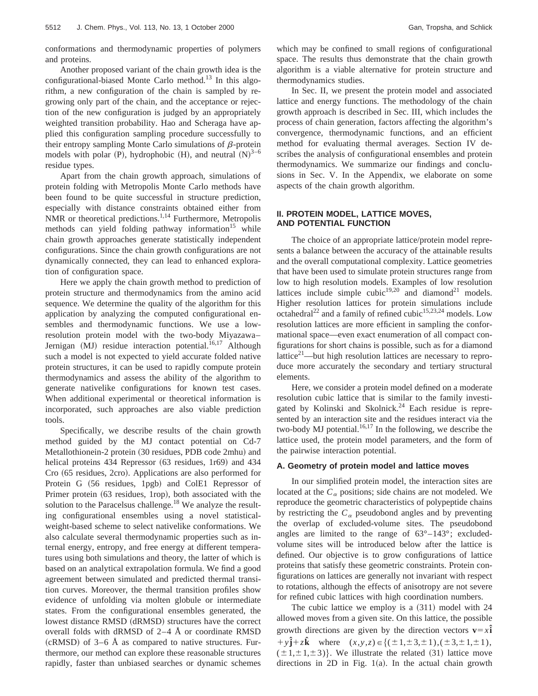conformations and thermodynamic properties of polymers and proteins.

Another proposed variant of the chain growth idea is the configurational-biased Monte Carlo method.<sup>13</sup> In this algorithm, a new configuration of the chain is sampled by regrowing only part of the chain, and the acceptance or rejection of the new configuration is judged by an appropriately weighted transition probability. Hao and Scheraga have applied this configuration sampling procedure successfully to their entropy sampling Monte Carlo simulations of  $\beta$ -protein models with polar (P), hydrophobic (H), and neutral  $(N)^{3-6}$ residue types.

Apart from the chain growth approach, simulations of protein folding with Metropolis Monte Carlo methods have been found to be quite successful in structure prediction, especially with distance constraints obtained either from  $NMR$  or theoretical predictions.<sup>1,14</sup> Furthermore, Metropolis methods can yield folding pathway information<sup>15</sup> while chain growth approaches generate statistically independent configurations. Since the chain growth configurations are not dynamically connected, they can lead to enhanced exploration of configuration space.

Here we apply the chain growth method to prediction of protein structure and thermodynamics from the amino acid sequence. We determine the quality of the algorithm for this application by analyzing the computed configurational ensembles and thermodynamic functions. We use a lowresolution protein model with the two-body Miyazawa– Jernigan (MJ) residue interaction potential.<sup>16,17</sup> Although such a model is not expected to yield accurate folded native protein structures, it can be used to rapidly compute protein thermodynamics and assess the ability of the algorithm to generate nativelike configurations for known test cases. When additional experimental or theoretical information is incorporated, such approaches are also viable prediction tools.

Specifically, we describe results of the chain growth method guided by the MJ contact potential on Cd-7 Metallothionein-2 protein (30 residues, PDB code 2mhu) and helical proteins 434 Repressor (63 residues, 1r69) and 434 Cro (65 residues, 2cro). Applications are also performed for Protein G  $(56$  residues, 1pgb) and ColE1 Repressor of Primer protein (63 residues, 1rop), both associated with the solution to the Paracelsus challenge.<sup>18</sup> We analyze the resulting configurational ensembles using a novel statisticalweight-based scheme to select nativelike conformations. We also calculate several thermodynamic properties such as internal energy, entropy, and free energy at different temperatures using both simulations and theory, the latter of which is based on an analytical extrapolation formula. We find a good agreement between simulated and predicted thermal transition curves. Moreover, the thermal transition profiles show evidence of unfolding via molten globule or intermediate states. From the configurational ensembles generated, the lowest distance RMSD (dRMSD) structures have the correct overall folds with dRMSD of 2–4 Å or coordinate RMSD  $(cRMSD)$  of 3–6 Å as compared to native structures. Furthermore, our method can explore these reasonable structures rapidly, faster than unbiased searches or dynamic schemes which may be confined to small regions of configurational space. The results thus demonstrate that the chain growth algorithm is a viable alternative for protein structure and thermodynamics studies.

In Sec. II, we present the protein model and associated lattice and energy functions. The methodology of the chain growth approach is described in Sec. III, which includes the process of chain generation, factors affecting the algorithm's convergence, thermodynamic functions, and an efficient method for evaluating thermal averages. Section IV describes the analysis of configurational ensembles and protein thermodynamics. We summarize our findings and conclusions in Sec. V. In the Appendix, we elaborate on some aspects of the chain growth algorithm.

# **II. PROTEIN MODEL, LATTICE MOVES, AND POTENTIAL FUNCTION**

The choice of an appropriate lattice/protein model represents a balance between the accuracy of the attainable results and the overall computational complexity. Lattice geometries that have been used to simulate protein structures range from low to high resolution models. Examples of low resolution lattices include simple cubic $19,20$  and diamond<sup>21</sup> models. Higher resolution lattices for protein simulations include octahedral<sup>22</sup> and a family of refined cubic<sup>15,23,24</sup> models. Low resolution lattices are more efficient in sampling the conformational space—even exact enumeration of all compact configurations for short chains is possible, such as for a diamond lattice<sup>21</sup>—but high resolution lattices are necessary to reproduce more accurately the secondary and tertiary structural elements.

Here, we consider a protein model defined on a moderate resolution cubic lattice that is similar to the family investigated by Kolinski and Skolnick.<sup>24</sup> Each residue is represented by an interaction site and the residues interact via the two-body MJ potential.<sup>16,17</sup> In the following, we describe the lattice used, the protein model parameters, and the form of the pairwise interaction potential.

#### **A. Geometry of protein model and lattice moves**

In our simplified protein model, the interaction sites are located at the  $C_a$  positions; side chains are not modeled. We reproduce the geometric characteristics of polypeptide chains by restricting the  $C_{\alpha}$  pseudobond angles and by preventing the overlap of excluded-volume sites. The pseudobond angles are limited to the range of  $63^{\circ}-143^{\circ}$ ; excludedvolume sites will be introduced below after the lattice is defined. Our objective is to grow configurations of lattice proteins that satisfy these geometric constraints. Protein configurations on lattices are generally not invariant with respect to rotations, although the effects of anisotropy are not severe for refined cubic lattices with high coordination numbers.

The cubic lattice we employ is a  $(311)$  model with 24 allowed moves from a given site. On this lattice, the possible growth directions are given by the direction vectors  $\mathbf{v} = x\hat{\mathbf{i}}$  $+y\hat{\mathbf{j}}+z\hat{\mathbf{k}}$  where  $(x,y,z) \in \{(\pm 1,\pm 3,\pm 1),(\pm 3,\pm 1,\pm 1),$  $(\pm 1,\pm 1,\pm 3)$ . We illustrate the related (31) lattice move directions in 2D in Fig.  $1(a)$ . In the actual chain growth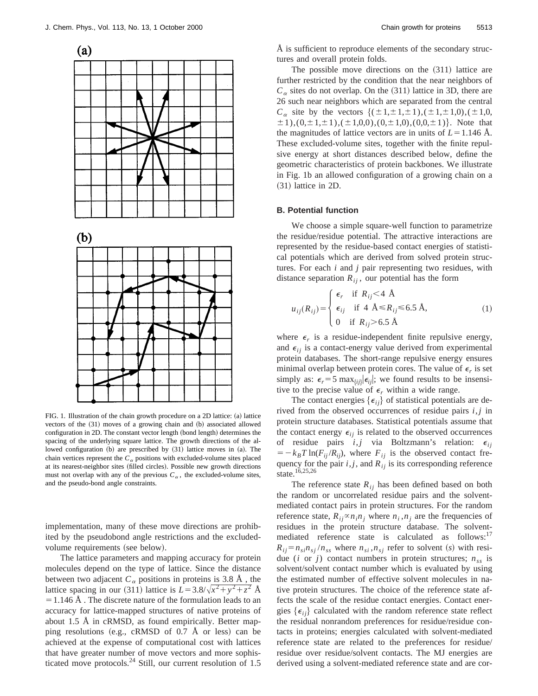

FIG. 1. Illustration of the chain growth procedure on a 2D lattice: (a) lattice vectors of the  $(31)$  moves of a growing chain and  $(b)$  associated allowed configuration in 2D. The constant vector length (bond length) determines the spacing of the underlying square lattice. The growth directions of the allowed configuration (b) are prescribed by (31) lattice moves in (a). The chain vertices represent the  $C_{\alpha}$  positions with excluded-volume sites placed at its nearest-neighbor sites (filled circles). Possible new growth directions must not overlap with any of the previous  $C_{\alpha}$ , the excluded-volume sites, and the pseudo-bond angle constraints.

implementation, many of these move directions are prohibited by the pseudobond angle restrictions and the excludedvolume requirements (see below).

The lattice parameters and mapping accuracy for protein molecules depend on the type of lattice. Since the distance between two adjacent  $C_{\alpha}$  positions in proteins is 3.8 Å, the lattice spacing in our (311) lattice is  $L = 3.8/\sqrt{x^2 + y^2 + z^2}$  Å  $=$  1.146 Å . The discrete nature of the formulation leads to an accuracy for lattice-mapped structures of native proteins of about 1.5 Å in cRMSD, as found empirically. Better mapping resolutions (e.g., cRMSD of  $0.7$  Å or less) can be achieved at the expense of computational cost with lattices that have greater number of move vectors and more sophisticated move protocols.<sup>24</sup> Still, our current resolution of 1.5 Å is sufficient to reproduce elements of the secondary structures and overall protein folds.

The possible move directions on the  $(311)$  lattice are further restricted by the condition that the near neighbors of  $C_{\alpha}$  sites do not overlap. On the (311) lattice in 3D, there are 26 such near neighbors which are separated from the central  $C_{\alpha}$  site by the vectors  $\{(\pm 1,\pm 1,\pm 1),(\pm 1,\pm 1,0),(\pm 1,0,\$  $\pm 1$ ),(0, $\pm 1$ , $\pm 1$ ),( $\pm 1$ ,0,0),(0, $\pm 1$ ,0),(0,0, $\pm 1$ )}. Note that the magnitudes of lattice vectors are in units of  $L=1.146$  Å. These excluded-volume sites, together with the finite repulsive energy at short distances described below, define the geometric characteristics of protein backbones. We illustrate in Fig. 1b an allowed configuration of a growing chain on a  $(31)$  lattice in 2D.

#### **B. Potential function**

We choose a simple square-well function to parametrize the residue/residue potential. The attractive interactions are represented by the residue-based contact energies of statistical potentials which are derived from solved protein structures. For each *i* and *j* pair representing two residues, with distance separation  $R_{ij}$ , our potential has the form

$$
u_{ij}(R_{ij}) = \begin{cases} \epsilon_r & \text{if } R_{ij} < 4 \text{ Å} \\ \epsilon_{ij} & \text{if } 4 \text{ Å} \le R_{ij} \le 6.5 \text{ Å}, \\ 0 & \text{if } R_{ij} > 6.5 \text{ Å} \end{cases}
$$
 (1)

where  $\epsilon_r$  is a residue-independent finite repulsive energy, and  $\epsilon_{ij}$  is a contact-energy value derived from experimental protein databases. The short-range repulsive energy ensures minimal overlap between protein cores. The value of  $\epsilon_r$  is set simply as:  $\epsilon_r = 5 \max_{\{ij\}} |\epsilon_{ij}|$ ; we found results to be insensitive to the precise value of  $\epsilon_r$  within a wide range.

The contact energies  $\{\epsilon_{ij}\}$  of statistical potentials are derived from the observed occurrences of residue pairs *i*, *j* in protein structure databases. Statistical potentials assume that the contact energy  $\epsilon_{ij}$  is related to the observed occurrences of residue pairs  $i, j$  via Boltzmann's relation:  $\epsilon_{ij}$  $=$   $-k_B T \ln(F_{ij}/R_{ij})$ , where  $F_{ij}$  is the observed contact frequency for the pair  $i, j$ , and  $R_{ij}$  is its corresponding reference state.16,25,26

The reference state  $R_{ij}$  has been defined based on both the random or uncorrelated residue pairs and the solventmediated contact pairs in protein structures. For the random reference state,  $R_{ij} \propto n_i n_j$  where  $n_i$ ,  $n_j$  are the frequencies of residues in the protein structure database. The solventmediated reference state is calculated as follows:<sup>17</sup>  $R_{ij} = n_{si} n_{sj} / n_{ss}$  where  $n_{si}$ ,  $n_{si}$  refer to solvent (s) with residue  $(i \text{ or } j)$  contact numbers in protein structures;  $n_{ss}$  is solvent/solvent contact number which is evaluated by using the estimated number of effective solvent molecules in native protein structures. The choice of the reference state affects the scale of the residue contact energies. Contact energies  $\{\epsilon_{ij}\}$  calculated with the random reference state reflect the residual nonrandom preferences for residue/residue contacts in proteins; energies calculated with solvent-mediated reference state are related to the preferences for residue/ residue over residue/solvent contacts. The MJ energies are derived using a solvent-mediated reference state and are cor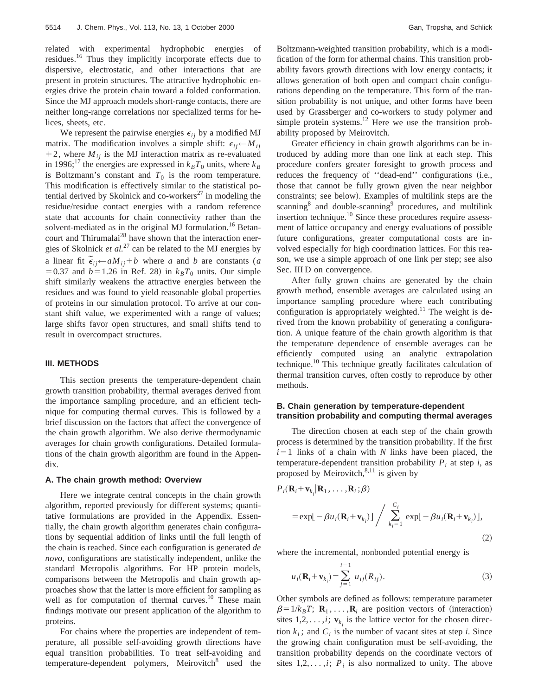related with experimental hydrophobic energies of residues.16 Thus they implicitly incorporate effects due to dispersive, electrostatic, and other interactions that are present in protein structures. The attractive hydrophobic energies drive the protein chain toward a folded conformation. Since the MJ approach models short-range contacts, there are neither long-range correlations nor specialized terms for helices, sheets, etc.

We represent the pairwise energies  $\epsilon_{ij}$  by a modified MJ matrix. The modification involves a simple shift:  $\epsilon_{ii} \leftarrow M_{ii}$  $+2$ , where  $M_{ij}$  is the MJ interaction matrix as re-evaluated in 1996;<sup>17</sup> the energies are expressed in  $k_B T_0$  units, where  $k_B$ is Boltzmann's constant and  $T_0$  is the room temperature. This modification is effectively similar to the statistical potential derived by Skolnick and co-workers $^{27}$  in modeling the residue/residue contact energies with a random reference state that accounts for chain connectivity rather than the solvent-mediated as in the original MJ formulation.<sup>16</sup> Betancourt and Thirumalai<sup>28</sup> have shown that the interaction energies of Skolnick *et al.*<sup>27</sup> can be related to the MJ energies by a linear fit  $\tilde{\epsilon}_{ij} \leftarrow a M_{ij} + b$  where *a* and *b* are constants (*a* = 0.37 and *b* = 1.26 in Ref. 28) in  $k_B T_0$  units. Our simple shift similarly weakens the attractive energies between the residues and was found to yield reasonable global properties of proteins in our simulation protocol. To arrive at our constant shift value, we experimented with a range of values; large shifts favor open structures, and small shifts tend to result in overcompact structures.

#### **III. METHODS**

This section presents the temperature-dependent chain growth transition probability, thermal averages derived from the importance sampling procedure, and an efficient technique for computing thermal curves. This is followed by a brief discussion on the factors that affect the convergence of the chain growth algorithm. We also derive thermodynamic averages for chain growth configurations. Detailed formulations of the chain growth algorithm are found in the Appendix.

#### **A. The chain growth method: Overview**

Here we integrate central concepts in the chain growth algorithm, reported previously for different systems; quantitative formulations are provided in the Appendix. Essentially, the chain growth algorithm generates chain configurations by sequential addition of links until the full length of the chain is reached. Since each configuration is generated *de novo*, configurations are statistically independent, unlike the standard Metropolis algorithms. For HP protein models, comparisons between the Metropolis and chain growth approaches show that the latter is more efficient for sampling as well as for computation of thermal curves.<sup>10</sup> These main findings motivate our present application of the algorithm to proteins.

For chains where the properties are independent of temperature, all possible self-avoiding growth directions have equal transition probabilities. To treat self-avoiding and temperature-dependent polymers, Meirovitch $8$  used the Boltzmann-weighted transition probability, which is a modification of the form for athermal chains. This transition probability favors growth directions with low energy contacts; it allows generation of both open and compact chain configurations depending on the temperature. This form of the transition probability is not unique, and other forms have been used by Grassberger and co-workers to study polymer and simple protein systems.<sup>12</sup> Here we use the transition probability proposed by Meirovitch.

Greater efficiency in chain growth algorithms can be introduced by adding more than one link at each step. This procedure confers greater foresight to growth process and reduces the frequency of "dead-end" configurations (i.e., those that cannot be fully grown given the near neighbor constraints; see below). Examples of multilink steps are the scanning<sup>8</sup> and double-scanning<sup>9</sup> procedures, and multilink insertion technique.<sup>10</sup> Since these procedures require assessment of lattice occupancy and energy evaluations of possible future configurations, greater computational costs are involved especially for high coordination lattices. For this reason, we use a simple approach of one link per step; see also Sec. III D on convergence.

After fully grown chains are generated by the chain growth method, ensemble averages are calculated using an importance sampling procedure where each contributing configuration is appropriately weighted.<sup>11</sup> The weight is derived from the known probability of generating a configuration. A unique feature of the chain growth algorithm is that the temperature dependence of ensemble averages can be efficiently computed using an analytic extrapolation technique.<sup>10</sup> This technique greatly facilitates calculation of thermal transition curves, often costly to reproduce by other methods.

# **B. Chain generation by temperature-dependent transition probability and computing thermal averages**

The direction chosen at each step of the chain growth process is determined by the transition probability. If the first  $i-1$  links of a chain with *N* links have been placed, the temperature-dependent transition probability  $P_i$  at step *i*, as proposed by Meirovitch, $8,11$  is given by

$$
P_i(\mathbf{R}_i + \mathbf{v}_{k_i} | \mathbf{R}_1, ..., \mathbf{R}_i; \beta)
$$
  
=  $\exp[-\beta u_i(\mathbf{R}_i + \mathbf{v}_{k_i})] / \sum_{k_i=1}^{C_i} \exp[-\beta u_i(\mathbf{R}_i + \mathbf{v}_{k_i})],$  (2)

where the incremental, nonbonded potential energy is

$$
u_i(\mathbf{R}_i + \mathbf{v}_{k_i}) = \sum_{j=1}^{i-1} u_{ij}(R_{ij}).
$$
 (3)

Other symbols are defined as follows: temperature parameter  $\beta = 1/k_B T$ ; **R**<sub>1</sub>,...,**R**<sub>*i*</sub> are position vectors of (interaction) sites  $1, 2, \ldots, i$ ;  $\mathbf{v}_k$  is the lattice vector for the chosen direction  $k_i$ ; and  $C_i$  is the number of vacant sites at step *i*. Since the growing chain configuration must be self-avoiding, the transition probability depends on the coordinate vectors of sites  $1, 2, \ldots, i$ ;  $P_i$  is also normalized to unity. The above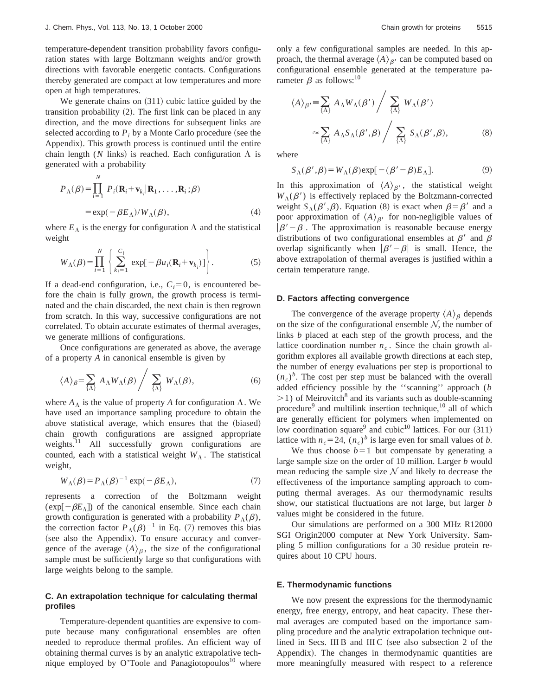temperature-dependent transition probability favors configuration states with large Boltzmann weights and/or growth directions with favorable energetic contacts. Configurations thereby generated are compact at low temperatures and more open at high temperatures.

We generate chains on  $(311)$  cubic lattice guided by the transition probability  $(2)$ . The first link can be placed in any direction, and the move directions for subsequent links are selected according to  $P_i$  by a Monte Carlo procedure (see the Appendix). This growth process is continued until the entire chain length ( $N$  links) is reached. Each configuration  $\Lambda$  is generated with a probability

$$
P_{\Lambda}(\beta) = \prod_{i=1}^{N} P_{i}(\mathbf{R}_{i} + \mathbf{v}_{k_{i}} | \mathbf{R}_{1}, \dots, \mathbf{R}_{i} ; \beta)
$$
  
= exp $(-\beta E_{\Lambda})/W_{\Lambda}(\beta)$ , (4)

where  $E_{\Lambda}$  is the energy for configuration  $\Lambda$  and the statistical weight

$$
W_{\Lambda}(\beta) = \prod_{i=1}^{N} \left\{ \sum_{k_i=1}^{C_i} \exp[-\beta u_i(\mathbf{R}_i + \mathbf{v}_{k_i})] \right\}.
$$
 (5)

If a dead-end configuration, i.e.,  $C_i=0$ , is encountered before the chain is fully grown, the growth process is terminated and the chain discarded, the next chain is then regrown from scratch. In this way, successive configurations are not correlated. To obtain accurate estimates of thermal averages, we generate millions of configurations.

Once configurations are generated as above, the average of a property *A* in canonical ensemble is given by

$$
\langle A \rangle_{\beta} = \sum_{\{\Lambda\}} A_{\Lambda} W_{\Lambda}(\beta) \left/ \sum_{\{\Lambda\}} W_{\Lambda}(\beta), \right. \tag{6}
$$

where  $A_{\Lambda}$  is the value of property *A* for configuration  $\Lambda$ . We have used an importance sampling procedure to obtain the above statistical average, which ensures that the (biased) chain growth configurations are assigned appropriate weights.<sup>11</sup> All successfully grown configurations are counted, each with a statistical weight  $W_{\Lambda}$ . The statistical weight,

$$
W_{\Lambda}(\beta) = P_{\Lambda}(\beta)^{-1} \exp(-\beta E_{\Lambda}), \tag{7}
$$

represents a correction of the Boltzmann weight  $(\exp[-\beta E_\Lambda])$  of the canonical ensemble. Since each chain growth configuration is generated with a probability  $P_{\Lambda}(\beta)$ , the correction factor  $P_{\Lambda}(\beta)^{-1}$  in Eq. (7) removes this bias (see also the Appendix). To ensure accuracy and convergence of the average  $\langle A \rangle$ <sub> $\beta$ </sub>, the size of the configurational sample must be sufficiently large so that configurations with large weights belong to the sample.

# **C. An extrapolation technique for calculating thermal profiles**

Temperature-dependent quantities are expensive to compute because many configurational ensembles are often needed to reproduce thermal profiles. An efficient way of obtaining thermal curves is by an analytic extrapolative technique employed by O'Toole and Panagiotopoulos $10$  where only a few configurational samples are needed. In this approach, the thermal average  $\langle A \rangle_{\beta}$  can be computed based on configurational ensemble generated at the temperature parameter  $\beta$  as follows:<sup>10</sup>

$$
\langle A \rangle_{\beta'} = \sum_{\{\Lambda\}} A_{\Lambda} W_{\Lambda}(\beta') \Bigg/ \sum_{\{\Lambda\}} W_{\Lambda}(\beta')
$$

$$
\approx \sum_{\{\Lambda\}} A_{\Lambda} S_{\Lambda}(\beta', \beta) \Bigg/ \sum_{\{\Lambda\}} S_{\Lambda}(\beta', \beta), \tag{8}
$$

where

$$
S_{\Lambda}(\beta', \beta) = W_{\Lambda}(\beta) \exp[-(\beta' - \beta)E_{\Lambda}].
$$
 (9)

In this approximation of  $\langle A \rangle_{\beta}$ , the statistical weight  $W_{\Lambda}(\beta')$  is effectively replaced by the Boltzmann-corrected weight  $S_\Lambda(\beta', \beta)$ . Equation (8) is exact when  $\beta = \beta'$  and a poor approximation of  $\langle A \rangle_{\beta'}$  for non-negligible values of  $|\beta'-\beta|$ . The approximation is reasonable because energy distributions of two configurational ensembles at  $\beta'$  and  $\beta$ overlap significantly when  $|\beta'-\beta|$  is small. Hence, the above extrapolation of thermal averages is justified within a certain temperature range.

#### **D. Factors affecting convergence**

The convergence of the average property  $\langle A \rangle_\beta$  depends on the size of the configurational ensemble  $N$ , the number of links *b* placed at each step of the growth process, and the lattice coordination number  $n_c$ . Since the chain growth algorithm explores all available growth directions at each step, the number of energy evaluations per step is proportional to  $(n_c)^b$ . The cost per step must be balanced with the overall added efficiency possible by the ''scanning'' approach (*b*  $>1$ ) of Meirovitch<sup>8</sup> and its variants such as double-scanning procedure $9$  and multilink insertion technique,<sup>10</sup> all of which are generally efficient for polymers when implemented on low coordination square<sup>9</sup> and cubic<sup>10</sup> lattices. For our  $(311)$ lattice with  $n_c = 24$ ,  $(n_c)^b$  is large even for small values of *b*.

We thus choose  $b=1$  but compensate by generating a large sample size on the order of 10 million. Larger *b* would mean reducing the sample size  $N$  and likely to decrease the effectiveness of the importance sampling approach to computing thermal averages. As our thermodynamic results show, our statistical fluctuations are not large, but larger *b* values might be considered in the future.

Our simulations are performed on a 300 MHz R12000 SGI Origin2000 computer at New York University. Sampling 5 million configurations for a 30 residue protein requires about 10 CPU hours.

#### **E. Thermodynamic functions**

We now present the expressions for the thermodynamic energy, free energy, entropy, and heat capacity. These thermal averages are computed based on the importance sampling procedure and the analytic extrapolation technique outlined in Secs. III B and III C (see also subsection  $2$  of the Appendix). The changes in thermodynamic quantities are more meaningfully measured with respect to a reference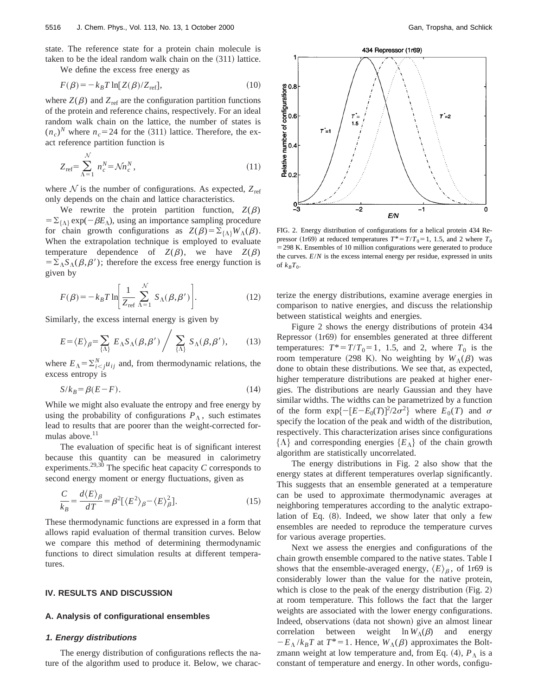state. The reference state for a protein chain molecule is taken to be the ideal random walk chain on the  $(311)$  lattice.

We define the excess free energy as

$$
F(\beta) = -k_B T \ln[Z(\beta)/Z_{\text{ref}}],\tag{10}
$$

where  $Z(\beta)$  and  $Z_{\text{ref}}$  are the configuration partition functions of the protein and reference chains, respectively. For an ideal random walk chain on the lattice, the number of states is  $(n_c)^N$  where  $n_c$ =24 for the (311) lattice. Therefore, the exact reference partition function is

$$
Z_{\text{ref}} = \sum_{\Lambda=1}^{N} n_c^N = \mathcal{N} n_c^N, \qquad (11)
$$

where  $N$  is the number of configurations. As expected,  $Z_{ref}$ only depends on the chain and lattice characteristics.

We rewrite the protein partition function,  $Z(\beta)$  $= \sum_{\{\Lambda\}} \exp(-\beta E_{\Lambda})$ , using an importance sampling procedure for chain growth configurations as  $Z(\beta) = \sum_{\{\Lambda\}} W_{\Lambda}(\beta)$ . When the extrapolation technique is employed to evaluate temperature dependence of  $Z(\beta)$ , we have  $Z(\beta)$  $=\sum_{\Lambda}S_{\Lambda}(\beta,\beta')$ ; therefore the excess free energy function is given by

$$
F(\beta) = -k_B T \ln \left[ \frac{1}{Z_{\text{ref}}} \sum_{\Lambda=1}^{N} S_{\Lambda}(\beta, \beta') \right].
$$
 (12)

Similarly, the excess internal energy is given by

$$
E = \langle E \rangle_{\beta} = \sum_{\{\Lambda\}} E_{\Lambda} S_{\Lambda}(\beta, \beta') / \sum_{\{\Lambda\}} S_{\Lambda}(\beta, \beta'), \qquad (13)
$$

where  $E_{\Lambda} = \sum_{i \leq j}^{N} u_{ij}$  and, from thermodynamic relations, the excess entropy is

$$
S/k_B = \beta(E - F). \tag{14}
$$

While we might also evaluate the entropy and free energy by using the probability of configurations  $P_{\Lambda}$ , such estimates lead to results that are poorer than the weight-corrected formulas above.<sup>11</sup>

The evaluation of specific heat is of significant interest because this quantity can be measured in calorimetry experiments.<sup>29,30</sup> The specific heat capacity *C* corresponds to second energy moment or energy fluctuations, given as

$$
\frac{C}{k_B} = \frac{d\langle E \rangle_\beta}{dT} = \beta^2 \left[ \langle E^2 \rangle_\beta - \langle E \rangle_\beta^2 \right].\tag{15}
$$

These thermodynamic functions are expressed in a form that allows rapid evaluation of thermal transition curves. Below we compare this method of determining thermodynamic functions to direct simulation results at different temperatures.

## **IV. RESULTS AND DISCUSSION**

#### **A. Analysis of configurational ensembles**

## **1. Energy distributions**

The energy distribution of configurations reflects the nature of the algorithm used to produce it. Below, we charac-



FIG. 2. Energy distribution of configurations for a helical protein 434 Repressor (1r69) at reduced temperatures  $T^* = T/T_0 = 1$ , 1.5, and 2 where  $T_0$  $=$  298 K. Ensembles of 10 million configurations were generated to produce the curves.  $E/N$  is the excess internal energy per residue, expressed in units of  $k_BT_0$ .

terize the energy distributions, examine average energies in comparison to native energies, and discuss the relationship between statistical weights and energies.

Figure 2 shows the energy distributions of protein 434 Repressor (1r69) for ensembles generated at three different temperatures:  $T^* = T/T_0 = 1$ , 1.5, and 2, where  $T_0$  is the room temperature (298 K). No weighting by  $W_\Lambda(\beta)$  was done to obtain these distributions. We see that, as expected, higher temperature distributions are peaked at higher energies. The distributions are nearly Gaussian and they have similar widths. The widths can be parametrized by a function of the form  $\exp\{-[E-E_0(T)]^2/2\sigma^2\}$  where  $E_0(T)$  and  $\sigma$ specify the location of the peak and width of the distribution, respectively. This characterization arises since configurations  $\{\Lambda\}$  and corresponding energies  $\{E_{\Lambda}\}\$  of the chain growth algorithm are statistically uncorrelated.

The energy distributions in Fig. 2 also show that the energy states at different temperatures overlap significantly. This suggests that an ensemble generated at a temperature can be used to approximate thermodynamic averages at neighboring temperatures according to the analytic extrapolation of Eq.  $(8)$ . Indeed, we show later that only a few ensembles are needed to reproduce the temperature curves for various average properties.

Next we assess the energies and configurations of the chain growth ensemble compared to the native states. Table I shows that the ensemble-averaged energy,  $\langle E \rangle$ <sub> $\beta$ </sub>, of 1r69 is considerably lower than the value for the native protein, which is close to the peak of the energy distribution  $(Fig. 2)$ at room temperature. This follows the fact that the larger weights are associated with the lower energy configurations. Indeed, observations (data not shown) give an almost linear correlation between weight  $\ln W_{\Lambda}(\beta)$  and energy  $-E_\Lambda/k_B T$  at  $T^*=1$ . Hence,  $W_\Lambda(\beta)$  approximates the Boltzmann weight at low temperature and, from Eq. (4),  $P_{\Lambda}$  is a constant of temperature and energy. In other words, configu-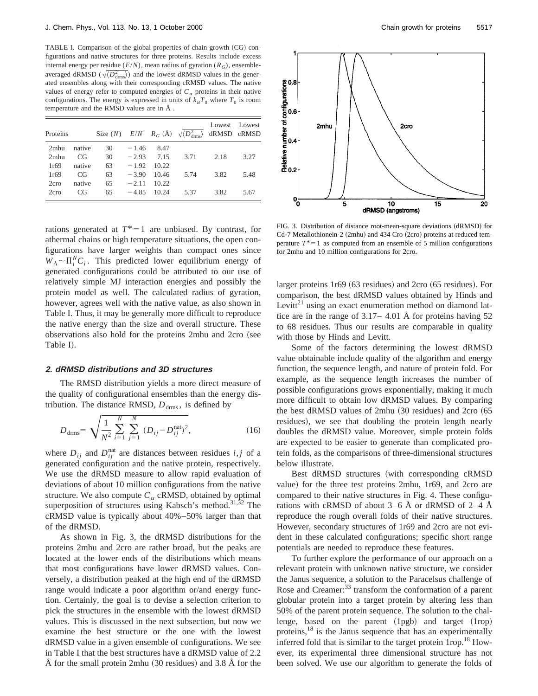TABLE I. Comparison of the global properties of chain growth (CG) configurations and native structures for three proteins. Results include excess internal energy per residue  $(E/N)$ , mean radius of gyration  $(R_G)$ , ensembleaveraged dRMSD ( $\sqrt{\langle D^2_{\text{drms}}\rangle}$ ) and the lowest dRMSD values in the generated ensembles along with their corresponding cRMSD values. The native values of energy refer to computed energies of  $C_\alpha$  proteins in their native configurations. The energy is expressed in units of  $k_B T_0$  where  $T_0$  is room temperature and the RMSD values are in Å .

| Proteins         |        |    |         |       | Size (N) $E/N$ $R_G$ (Å) $\sqrt{\langle D_{\text{drms}}^2 \rangle}$ | dRMSD cRMSD | Lowest Lowest |
|------------------|--------|----|---------|-------|---------------------------------------------------------------------|-------------|---------------|
| 2mhu             | native | 30 | $-1.46$ | 8.47  |                                                                     |             |               |
| 2mhu             | CG     | 30 | $-2.93$ | 7.15  | 3.71                                                                | 2.18        | 3.27          |
| 1r69             | native | 63 | $-1.92$ | 10.22 |                                                                     |             |               |
| 1r69             | CG     | 63 | $-3.90$ | 10.46 | 5.74                                                                | 3.82        | 5.48          |
| 2 <sub>cro</sub> | native | 65 | $-2.11$ | 10.22 |                                                                     |             |               |
| 2cro             | CG     | 65 | $-4.85$ | 10.24 | 5.37                                                                | 3.82        | 5.67          |

rations generated at  $T^*=1$  are unbiased. By contrast, for athermal chains or high temperature situations, the open configurations have larger weights than compact ones since  $W_{\Lambda} \sim \prod_i^N C_i$ . This predicted lower equilibrium energy of generated configurations could be attributed to our use of relatively simple MJ interaction energies and possibly the protein model as well. The calculated radius of gyration, however, agrees well with the native value, as also shown in Table I. Thus, it may be generally more difficult to reproduce the native energy than the size and overall structure. These observations also hold for the proteins 2mhu and 2cro (see Table I).

# **2. dRMSD distributions and 3D structures**

The RMSD distribution yields a more direct measure of the quality of configurational ensembles than the energy distribution. The distance RMSD,  $D_{\text{drms}}$ , is defined by

$$
D_{\text{drms}} = \sqrt{\frac{1}{N^2} \sum_{i=1}^{N} \sum_{j=1}^{N} (D_{ij} - D_{ij}^{\text{nat}})^2},
$$
 (16)

where  $D_{ij}$  and  $D_{ij}^{\text{nat}}$  are distances between residues *i*, *j* of a generated configuration and the native protein, respectively. We use the dRMSD measure to allow rapid evaluation of deviations of about 10 million configurations from the native structure. We also compute  $C_a$  cRMSD, obtained by optimal superposition of structures using Kabsch's method.<sup>31,32</sup> The cRMSD value is typically about 40%–50% larger than that of the dRMSD.

As shown in Fig. 3, the dRMSD distributions for the proteins 2mhu and 2cro are rather broad, but the peaks are located at the lower ends of the distributions which means that most configurations have lower dRMSD values. Conversely, a distribution peaked at the high end of the dRMSD range would indicate a poor algorithm or/and energy function. Certainly, the goal is to devise a selection criterion to pick the structures in the ensemble with the lowest dRMSD values. This is discussed in the next subsection, but now we examine the best structure or the one with the lowest dRMSD value in a given ensemble of configurations. We see in Table I that the best structures have a dRMSD value of 2.2 Å for the small protein 2mhu  $(30$  residues) and 3.8 Å for the



FIG. 3. Distribution of distance root-mean-square deviations (dRMSD) for  $Cd-7$  Metallothionein-2  $(2mhu)$  and 434 Cro  $(2cro)$  proteins at reduced temperature  $T^*=1$  as computed from an ensemble of 5 million configurations for 2mhu and 10 million configurations for 2cro.

larger proteins  $1r69$  (63 residues) and  $2cro$  (65 residues). For comparison, the best dRMSD values obtained by Hinds and Levitt $21$  using an exact enumeration method on diamond lattice are in the range of 3.17– 4.01 Å for proteins having 52 to 68 residues. Thus our results are comparable in quality with those by Hinds and Levitt.

Some of the factors determining the lowest dRMSD value obtainable include quality of the algorithm and energy function, the sequence length, and nature of protein fold. For example, as the sequence length increases the number of possible configurations grows exponentially, making it much more difficult to obtain low dRMSD values. By comparing the best dRMSD values of  $2mhu$   $(30$  residues) and  $2cro$   $(65$ residues), we see that doubling the protein length nearly doubles the dRMSD value. Moreover, simple protein folds are expected to be easier to generate than complicated protein folds, as the comparisons of three-dimensional structures below illustrate.

Best dRMSD structures (with corresponding cRMSD value) for the three test proteins 2mhu, 1r69, and 2cro are compared to their native structures in Fig. 4. These configurations with cRMSD of about  $3-6$  Å or dRMSD of  $2-4$  Å reproduce the rough overall folds of their native structures. However, secondary structures of 1r69 and 2cro are not evident in these calculated configurations; specific short range potentials are needed to reproduce these features.

To further explore the performance of our approach on a relevant protein with unknown native structure, we consider the Janus sequence, a solution to the Paracelsus challenge of Rose and Creamer:<sup>33</sup> transform the conformation of a parent globular protein into a target protein by altering less than 50% of the parent protein sequence. The solution to the challenge, based on the parent  $(1pgb)$  and target  $(1rop)$ proteins,<sup>18</sup> is the Janus sequence that has an experimentally inferred fold that is similar to the target protein  $1$ rop.<sup>18</sup> However, its experimental three dimensional structure has not been solved. We use our algorithm to generate the folds of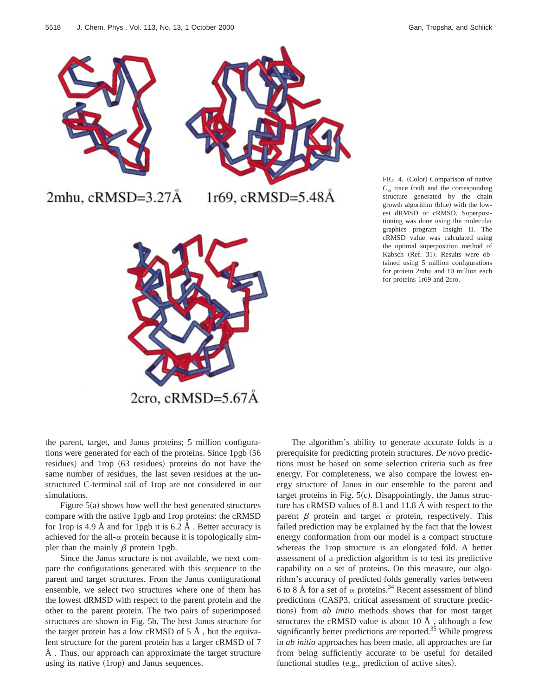



 $2mhu$ , cRMSD= $3.27\text{\AA}$ 





FIG. 4. (Color) Comparison of native  $C_{\alpha}$  trace (red) and the corresponding structure generated by the chain growth algorithm (blue) with the lowest dRMSD or cRMSD. Superpositioning was done using the molecular graphics program Insight II. The cRMSD value was calculated using the optimal superposition method of Kabsch (Ref. 31). Results were obtained using 5 million configurations for protein 2mhu and 10 million each for proteins 1r69 and 2cro.

the parent, target, and Janus proteins; 5 million configurations were generated for each of the proteins. Since 1pgb (56 residues) and 1rop (63 residues) proteins do not have the same number of residues, the last seven residues at the unstructured C-terminal tail of 1rop are not considered in our simulations.

Figure  $5(a)$  shows how well the best generated structures compare with the native 1pgb and 1rop proteins: the cRMSD for 1rop is 4.9 Å and for 1pgb it is  $6.2 \text{ Å}$ . Better accuracy is achieved for the all- $\alpha$  protein because it is topologically simpler than the mainly  $\beta$  protein 1pgb.

Since the Janus structure is not available, we next compare the configurations generated with this sequence to the parent and target structures. From the Janus configurational ensemble, we select two structures where one of them has the lowest dRMSD with respect to the parent protein and the other to the parent protein. The two pairs of superimposed structures are shown in Fig. 5b. The best Janus structure for the target protein has a low cRMSD of 5 Å , but the equivalent structure for the parent protein has a larger cRMSD of 7 Å . Thus, our approach can approximate the target structure using its native  $(1rop)$  and Janus sequences.

The algorithm's ability to generate accurate folds is a prerequisite for predicting protein structures. *De novo* predictions must be based on some selection criteria such as free energy. For completeness, we also compare the lowest energy structure of Janus in our ensemble to the parent and target proteins in Fig.  $5(c)$ . Disappointingly, the Janus structure has cRMSD values of 8.1 and 11.8 Å with respect to the parent  $\beta$  protein and target  $\alpha$  protein, respectively. This failed prediction may be explained by the fact that the lowest energy conformation from our model is a compact structure whereas the 1rop structure is an elongated fold. A better assessment of a prediction algorithm is to test its predictive capability on a set of proteins. On this measure, our algorithm's accuracy of predicted folds generally varies between 6 to 8 Å for a set of  $\alpha$  proteins.<sup>34</sup> Recent assessment of blind predictions (CASP3, critical assessment of structure predictions) from *ab initio* methods shows that for most target structures the cRMSD value is about 10  $\AA$ , although a few significantly better predictions are reported.<sup>35</sup> While progress in *ab initio* approaches has been made, all approaches are far from being sufficiently accurate to be useful for detailed functional studies  $(e.g., prediction of active sites)$ .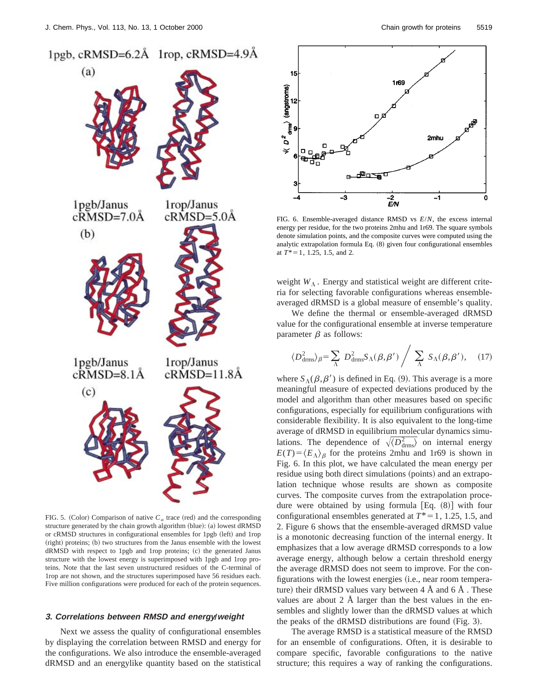

FIG. 5. (Color) Comparison of native  $C_\alpha$  trace (red) and the corresponding structure generated by the chain growth algorithm (blue): (a) lowest dRMSD or cRMSD structures in configurational ensembles for 1pgb (left) and 1rop (right) proteins; (b) two structures from the Janus ensemble with the lowest dRMSD with respect to 1pgb and 1rop proteins; (c) the generated Janus structure with the lowest energy is superimposed with 1pgb and 1rop proteins. Note that the last seven unstructured residues of the C-terminal of 1rop are not shown, and the structures superimposed have 56 residues each. Five million configurations were produced for each of the protein sequences.

# **3. Correlations between RMSD and energy/weight**

Next we assess the quality of configurational ensembles by displaying the correlation between RMSD and energy for the configurations. We also introduce the ensemble-averaged dRMSD and an energylike quantity based on the statistical



FIG. 6. Ensemble-averaged distance RMSD vs *E*/*N*, the excess internal energy per residue, for the two proteins 2mhu and 1r69. The square symbols denote simulation points, and the composite curves were computed using the analytic extrapolation formula Eq.  $(8)$  given four configurational ensembles at  $T^*$  = 1, 1.25, 1.5, and 2.

weight  $W_{\Lambda}$ . Energy and statistical weight are different criteria for selecting favorable configurations whereas ensembleaveraged dRMSD is a global measure of ensemble's quality.

We define the thermal or ensemble-averaged dRMSD value for the configurational ensemble at inverse temperature parameter  $\beta$  as follows:

$$
\langle D_{\text{drms}}^2 \rangle_{\beta} = \sum_{\Lambda} D_{\text{drms}}^2 S_{\Lambda}(\beta, \beta') / \sum_{\Lambda} S_{\Lambda}(\beta, \beta'), \quad (17)
$$

where  $S_{\Lambda}(\beta,\beta')$  is defined in Eq. (9). This average is a more meaningful measure of expected deviations produced by the model and algorithm than other measures based on specific configurations, especially for equilibrium configurations with considerable flexibility. It is also equivalent to the long-time average of dRMSD in equilibrium molecular dynamics simulations. The dependence of  $\sqrt{\langle D^2_{\text{drms}}\rangle}$  on internal energy  $E(T) = \langle E_\Lambda \rangle_\beta$  for the proteins 2mhu and 1r69 is shown in Fig. 6. In this plot, we have calculated the mean energy per residue using both direct simulations (points) and an extrapolation technique whose results are shown as composite curves. The composite curves from the extrapolation procedure were obtained by using formula  $[Eq. (8)]$  with four configurational ensembles generated at  $T^* = 1$ , 1.25, 1.5, and 2. Figure 6 shows that the ensemble-averaged dRMSD value is a monotonic decreasing function of the internal energy. It emphasizes that a low average dRMSD corresponds to a low average energy, although below a certain threshold energy the average dRMSD does not seem to improve. For the configurations with the lowest energies (i.e., near room temperature) their dRMSD values vary between  $4 \text{ Å}$  and  $6 \text{ Å}$ . These values are about 2 Å larger than the best values in the ensembles and slightly lower than the dRMSD values at which the peaks of the  $dRMSD$  distributions are found (Fig. 3).

The average RMSD is a statistical measure of the RMSD for an ensemble of configurations. Often, it is desirable to compare specific, favorable configurations to the native structure; this requires a way of ranking the configurations.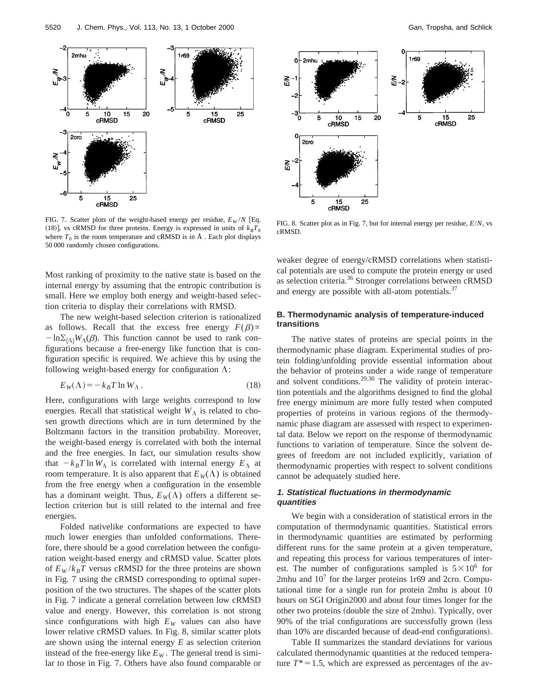

FIG. 7. Scatter plots of the weight-based energy per residue,  $E_W/N$  [Eq. (18)], vs cRMSD for three proteins. Energy is expressed in units of  $k_B T_0$ where  $T_0$  is the room temperature and cRMSD is in  $\AA$ . Each plot displays 50 000 randomly chosen configurations.

Most ranking of proximity to the native state is based on the internal energy by assuming that the entropic contribution is small. Here we employ both energy and weight-based selection criteria to display their correlations with RMSD.

The new weight-based selection criterion is rationalized as follows. Recall that the excess free energy  $F(\beta) \propto$  $-\ln\Sigma_{\{\Lambda\}}W_{\Lambda}(\beta)$ . This function cannot be used to rank configurations because a free-energy like function that is configuration specific is required. We achieve this by using the following weight-based energy for configuration  $\Lambda$ :

$$
E_W(\Lambda) = -k_B T \ln W_\Lambda. \tag{18}
$$

Here, configurations with large weights correspond to low energies. Recall that statistical weight  $W_{\Lambda}$  is related to chosen growth directions which are in turn determined by the Boltzmann factors in the transition probability. Moreover, the weight-based energy is correlated with both the internal and the free energies. In fact, our simulation results show that  $-k_B T \ln W_{\Lambda}$  is correlated with internal energy  $E_{\Lambda}$  at room temperature. It is also apparent that  $E_W(\Lambda)$  is obtained from the free energy when a configuration in the ensemble has a dominant weight. Thus,  $E_W(\Lambda)$  offers a different selection criterion but is still related to the internal and free energies.

Folded nativelike conformations are expected to have much lower energies than unfolded conformations. Therefore, there should be a good correlation between the configuration weight-based energy and cRMSD value. Scatter plots of  $E_W/k_BT$  versus cRMSD for the three proteins are shown in Fig. 7 using the cRMSD corresponding to optimal superposition of the two structures. The shapes of the scatter plots in Fig. 7 indicate a general correlation between low cRMSD value and energy. However, this correlation is not strong since configurations with high  $E_W$  values can also have lower relative cRMSD values. In Fig. 8, similar scatter plots are shown using the internal energy *E* as selection criterion instead of the free-energy like  $E_W$ . The general trend is similar to those in Fig. 7. Others have also found comparable or



FIG. 8. Scatter plot as in Fig. 7, but for internal energy per residue, *E*/*N*, vs cRMSD.

weaker degree of energy/cRMSD correlations when statistical potentials are used to compute the protein energy or used as selection criteria.36 Stronger correlations between cRMSD and energy are possible with all-atom potentials. $37$ 

## **B. Thermodynamic analysis of temperature-induced transitions**

The native states of proteins are special points in the thermodynamic phase diagram. Experimental studies of protein folding/unfolding provide essential information about the behavior of proteins under a wide range of temperature and solvent conditions.<sup>29,30</sup> The validity of protein interaction potentials and the algorithms designed to find the global free energy minimum are more fully tested when computed properties of proteins in various regions of the thermodynamic phase diagram are assessed with respect to experimental data. Below we report on the response of thermodynamic functions to variation of temperature. Since the solvent degrees of freedom are not included explicitly, variation of thermodynamic properties with respect to solvent conditions cannot be adequately studied here.

# **1. Statistical fluctuations in thermodynamic quantities**

We begin with a consideration of statistical errors in the computation of thermodynamic quantities. Statistical errors in thermodynamic quantities are estimated by performing different runs for the same protein at a given temperature, and repeating this process for various temperatures of interest. The number of configurations sampled is  $5 \times 10^6$  for 2mhu and  $10<sup>7</sup>$  for the larger proteins 1r69 and 2cro. Computational time for a single run for protein 2mhu is about 10 hours on SGI Origin2000 and about four times longer for the other two proteins (double the size of 2mhu). Typically, over 90% of the trial configurations are successfully grown (less than 10% are discarded because of dead-end configurations).

Table II summarizes the standard deviations for various calculated thermodynamic quantities at the reduced temperature  $T^*$  = 1.5, which are expressed as percentages of the av-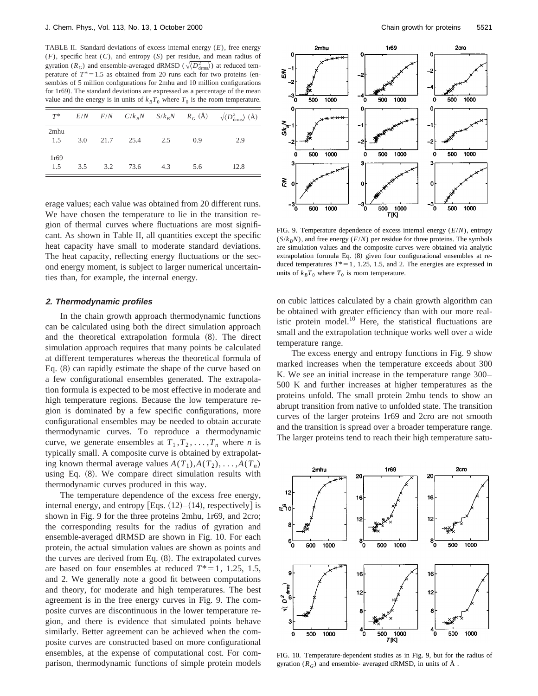TABLE II. Standard deviations of excess internal energy (*E*), free energy (*F*), specific heat (*C*), and entropy (*S*) per residue, and mean radius of gyration ( $R_G$ ) and ensemble-averaged dRMSD ( $\sqrt{\langle D^2_{\text{drms}}\rangle}$ ) at reduced temperature of  $T^*=1.5$  as obtained from 20 runs each for two proteins (ensembles of 5 million configurations for 2mhu and 10 million configurations for 1r69). The standard deviations are expressed as a percentage of the mean value and the energy is in units of  $k_B T_0$  where  $T_0$  is the room temperature.

| $T^*$          |               |      |      |     |     | $E/N$ $F/N$ $C/k_BN$ $S/k_BN$ $R_G(\AA)$ $\sqrt{\langle D_{\text{drms}}^2 \rangle} (\AA)$ |
|----------------|---------------|------|------|-----|-----|-------------------------------------------------------------------------------------------|
| $2m$ hu<br>1.5 | 3.0           | 21.7 | 25.4 | 2.5 | 0.9 | 2.9                                                                                       |
| 1r69<br>1.5    | $3.5^{\circ}$ | 3.2  | 73.6 | 4.3 | 5.6 | 12.8                                                                                      |

erage values; each value was obtained from 20 different runs. We have chosen the temperature to lie in the transition region of thermal curves where fluctuations are most significant. As shown in Table II, all quantities except the specific heat capacity have small to moderate standard deviations. The heat capacity, reflecting energy fluctuations or the second energy moment, is subject to larger numerical uncertainties than, for example, the internal energy.

#### **2. Thermodynamic profiles**

In the chain growth approach thermodynamic functions can be calculated using both the direct simulation approach and the theoretical extrapolation formula  $(8)$ . The direct simulation approach requires that many points be calculated at different temperatures whereas the theoretical formula of Eq.  $(8)$  can rapidly estimate the shape of the curve based on a few configurational ensembles generated. The extrapolation formula is expected to be most effective in moderate and high temperature regions. Because the low temperature region is dominated by a few specific configurations, more configurational ensembles may be needed to obtain accurate thermodynamic curves. To reproduce a thermodynamic curve, we generate ensembles at  $T_1, T_2, \ldots, T_n$  where *n* is typically small. A composite curve is obtained by extrapolating known thermal average values  $A(T_1), A(T_2), \ldots, A(T_n)$ using Eq.  $(8)$ . We compare direct simulation results with thermodynamic curves produced in this way.

The temperature dependence of the excess free energy, internal energy, and entropy [Eqs.  $(12)$ – $(14)$ , respectively] is shown in Fig. 9 for the three proteins 2mhu, 1r69, and 2cro; the corresponding results for the radius of gyration and ensemble-averaged dRMSD are shown in Fig. 10. For each protein, the actual simulation values are shown as points and the curves are derived from Eq.  $(8)$ . The extrapolated curves are based on four ensembles at reduced  $T^* = 1$ , 1.25, 1.5, and 2. We generally note a good fit between computations and theory, for moderate and high temperatures. The best agreement is in the free energy curves in Fig. 9. The composite curves are discontinuous in the lower temperature region, and there is evidence that simulated points behave similarly. Better agreement can be achieved when the composite curves are constructed based on more configurational ensembles, at the expense of computational cost. For comparison, thermodynamic functions of simple protein models



FIG. 9. Temperature dependence of excess internal energy (*E*/*N*), entropy  $(S/k<sub>B</sub>N)$ , and free energy  $(F/N)$  per residue for three proteins. The symbols are simulation values and the composite curves were obtained via analytic extrapolation formula Eq. (8) given four configurational ensembles at reduced temperatures  $T^*$  = 1, 1.25, 1.5, and 2. The energies are expressed in units of  $k_B T_0$  where  $T_0$  is room temperature.

on cubic lattices calculated by a chain growth algorithm can be obtained with greater efficiency than with our more realistic protein model.<sup>10</sup> Here, the statistical fluctuations are small and the extrapolation technique works well over a wide temperature range.

The excess energy and entropy functions in Fig. 9 show marked increases when the temperature exceeds about 300 K. We see an initial increase in the temperature range 300– 500 K and further increases at higher temperatures as the proteins unfold. The small protein 2mhu tends to show an abrupt transition from native to unfolded state. The transition curves of the larger proteins 1r69 and 2cro are not smooth and the transition is spread over a broader temperature range. The larger proteins tend to reach their high temperature satu-



FIG. 10. Temperature-dependent studies as in Fig. 9, but for the radius of gyration  $(R_G)$  and ensemble- averaged dRMSD, in units of  $\AA$ .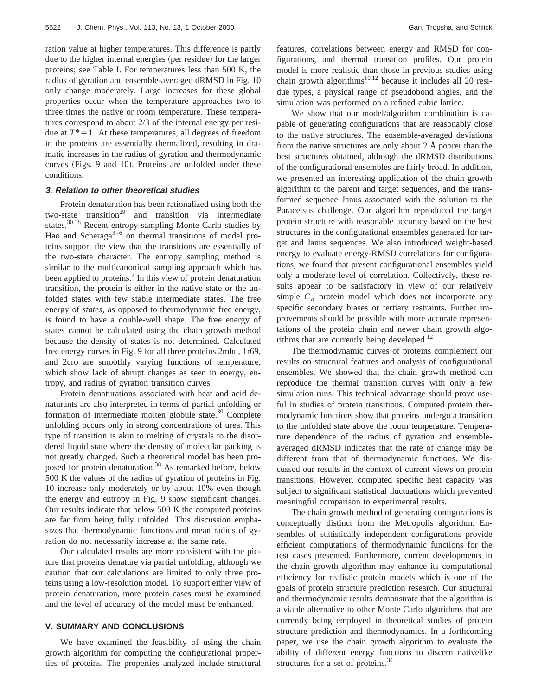ration value at higher temperatures. This difference is partly due to the higher internal energies (per residue) for the larger proteins; see Table I. For temperatures less than 500 K, the radius of gyration and ensemble-averaged dRMSD in Fig. 10 only change moderately. Large increases for these global properties occur when the temperature approaches two to three times the native or room temperature. These temperatures correspond to about 2/3 of the internal energy per residue at  $T^* = 1$ . At these temperatures, all degrees of freedom in the proteins are essentially thermalized, resulting in dramatic increases in the radius of gyration and thermodynamic curves (Figs. 9 and 10). Proteins are unfolded under these conditions.

#### **3. Relation to other theoretical studies**

Protein denaturation has been rationalized using both the two-state transition<sup>29</sup> and transition via intermediate states.<sup>30,38</sup> Recent entropy-sampling Monte Carlo studies by Hao and Scheraga $3-6$  on thermal transitions of model proteins support the view that the transitions are essentially of the two-state character. The entropy sampling method is similar to the multicanonical sampling approach which has been applied to proteins.<sup>2</sup> In this view of protein denaturation transition, the protein is either in the native state or the unfolded states with few stable intermediate states. The free energy of *states*, as opposed to thermodynamic free energy, is found to have a double-well shape. The free energy of states cannot be calculated using the chain growth method because the density of states is not determined. Calculated free energy curves in Fig. 9 for all three proteins 2mhu, 1r69, and 2cro are smoothly varying functions of temperature, which show lack of abrupt changes as seen in energy, entropy, and radius of gyration transition curves.

Protein denaturations associated with heat and acid denaturants are also interpreted in terms of partial unfolding or formation of intermediate molten globule state. $30$  Complete unfolding occurs only in strong concentrations of urea. This type of transition is akin to melting of crystals to the disordered liquid state where the density of molecular packing is not greatly changed. Such a theoretical model has been proposed for protein denaturation.<sup>38</sup> As remarked before, below 500 K the values of the radius of gyration of proteins in Fig. 10 increase only moderately or by about 10% even though the energy and entropy in Fig. 9 show significant changes. Our results indicate that below 500 K the computed proteins are far from being fully unfolded. This discussion emphasizes that thermodynamic functions and mean radius of gyration do not necessarily increase at the same rate.

Our calculated results are more consistent with the picture that proteins denature via partial unfolding, although we caution that our calculations are limited to only three proteins using a low-resolution model. To support either view of protein denaturation, more protein cases must be examined and the level of accuracy of the model must be enhanced.

# **V. SUMMARY AND CONCLUSIONS**

We have examined the feasibility of using the chain growth algorithm for computing the configurational properties of proteins. The properties analyzed include structural features, correlations between energy and RMSD for configurations, and thermal transition profiles. Our protein model is more realistic than those in previous studies using chain growth algorithms<sup>10,12</sup> because it includes all 20 residue types, a physical range of pseudobond angles, and the simulation was performed on a refined cubic lattice.

We show that our model/algorithm combination is capable of generating configurations that are reasonably close to the native structures. The ensemble-averaged deviations from the native structures are only about 2 Å poorer than the best structures obtained, although the dRMSD distributions of the configurational ensembles are fairly broad. In addition, we presented an interesting application of the chain growth algorithm to the parent and target sequences, and the transformed sequence Janus associated with the solution to the Paracelsus challenge. Our algorithm reproduced the target protein structure with reasonable accuracy based on the best structures in the configurational ensembles generated for target and Janus sequences. We also introduced weight-based energy to evaluate energy-RMSD correlations for configurations; we found that present configurational ensembles yield only a moderate level of correlation. Collectively, these results appear to be satisfactory in view of our relatively simple  $C_\alpha$  protein model which does not incorporate any specific secondary biases or tertiary restraints. Further improvements should be possible with more accurate representations of the protein chain and newer chain growth algorithms that are currently being developed.<sup>12</sup>

The thermodynamic curves of proteins complement our results on structural features and analysis of configurational ensembles. We showed that the chain growth method can reproduce the thermal transition curves with only a few simulation runs. This technical advantage should prove useful in studies of protein transitions. Computed protein thermodynamic functions show that proteins undergo a transition to the unfolded state above the room temperature. Temperature dependence of the radius of gyration and ensembleaveraged dRMSD indicates that the rate of change may be different from that of thermodynamic functions. We discussed our results in the context of current views on protein transitions. However, computed specific heat capacity was subject to significant statistical fluctuations which prevented meaningful comparison to experimental results.

The chain growth method of generating configurations is conceptually distinct from the Metropolis algorithm. Ensembles of statistically independent configurations provide efficient computations of thermodynamic functions for the test cases presented. Furthermore, current developments in the chain growth algorithm may enhance its computational efficiency for realistic protein models which is one of the goals of protein structure prediction research. Our structural and thermodynamic results demonstrate that the algorithm is a viable alternative to other Monte Carlo algorithms that are currently being employed in theoretical studies of protein structure prediction and thermodynamics. In a forthcoming paper, we use the chain growth algorithm to evaluate the ability of different energy functions to discern nativelike structures for a set of proteins.<sup>34</sup>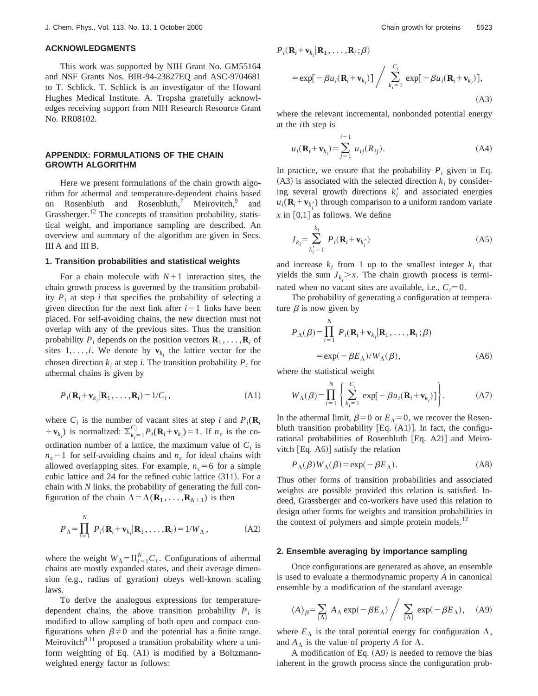## **ACKNOWLEDGMENTS**

This work was supported by NIH Grant No. GM55164 and NSF Grants Nos. BIR-94-23827EQ and ASC-9704681 to T. Schlick. T. Schlick is an investigator of the Howard Hughes Medical Institute. A. Tropsha gratefully acknowledges receiving support from NIH Research Resource Grant No. RR08102.

# **APPENDIX: FORMULATIONS OF THE CHAIN GROWTH ALGORITHM**

Here we present formulations of the chain growth algorithm for athermal and temperature-dependent chains based on Rosenbluth and Rosenbluth,<sup>7</sup> Meirovitch,<sup>9</sup> and Grassberger.<sup>12</sup> The concepts of transition probability, statistical weight, and importance sampling are described. An overview and summary of the algorithm are given in Secs. III A and III B.

#### **1. Transition probabilities and statistical weights**

For a chain molecule with  $N+1$  interaction sites, the chain growth process is governed by the transition probability  $P_i$  at step *i* that specifies the probability of selecting a given direction for the next link after  $i-1$  links have been placed. For self-avoiding chains, the new direction must not overlap with any of the previous sites. Thus the transition probability  $P_i$  depends on the position vectors  $\mathbf{R}_1, \ldots, \mathbf{R}_i$  of sites  $1, \ldots, i$ . We denote by  $\mathbf{v}_{k_i}$  the lattice vector for the chosen direction  $k_i$  at step *i*. The transition probability  $P_i$  for athermal chains is given by

$$
P_i(\mathbf{R}_i + \mathbf{v}_{k_i} | \mathbf{R}_1, \dots, \mathbf{R}_i) = 1/C_i, \tag{A1}
$$

where  $C_i$  is the number of vacant sites at step *i* and  $P_i(\mathbf{R}_i)$  $(\mathbf{v}_{k_i})$  is normalized:  $\sum_{k_i=1}^{C_i} P_i(\mathbf{R}_i + \mathbf{v}_{k_i}) = 1$ . If  $n_c$  is the coordination number of a lattice, the maximum value of  $C_i$  is  $n_c-1$  for self-avoiding chains and  $n_c$  for ideal chains with allowed overlapping sites. For example,  $n_c = 6$  for a simple cubic lattice and  $24$  for the refined cubic lattice  $(311)$ . For a chain with *N* links, the probability of generating the full configuration of the chain  $\Lambda = \Lambda(\mathbf{R}_1, \ldots, \mathbf{R}_{N+1})$  is then

$$
P_{\Lambda} = \prod_{i=1}^{N} P_i(\mathbf{R}_i + \mathbf{v}_{k_i} | \mathbf{R}_1, \dots, \mathbf{R}_i) = 1/W_{\Lambda},
$$
 (A2)

where the weight  $W_{\Lambda} = \prod_{i=1}^{N} C_i$ . Configurations of athermal chains are mostly expanded states, and their average dimension (e.g., radius of gyration) obeys well-known scaling laws.

To derive the analogous expressions for temperaturedependent chains, the above transition probability  $P_i$  is modified to allow sampling of both open and compact configurations when  $\beta \neq 0$  and the potential has a finite range. Meirovitch $8,11$  proposed a transition probability where a uniform weighting of Eq.  $(A1)$  is modified by a Boltzmannweighted energy factor as follows:

$$
P_i(\mathbf{R}_i+\mathbf{v}_{k_i}|\mathbf{R}_1,\ldots,\mathbf{R}_i;\boldsymbol{\beta})
$$

$$
= \exp[-\beta u_i(\mathbf{R}_i + \mathbf{v}_{k_i})] / \sum_{k_i=1}^{C_i} \exp[-\beta u_i(\mathbf{R}_i + \mathbf{v}_{k_i})],
$$
\n(A3)

where the relevant incremental, nonbonded potential energy at the *i*th step is

$$
u_i(\mathbf{R}_i + \mathbf{v}_{k_i}) = \sum_{j=1}^{i-1} u_{ij}(R_{ij}).
$$
 (A4)

In practice, we ensure that the probability  $P_i$  given in Eq.  $(A3)$  is associated with the selected direction  $k_i$  by considering several growth directions  $k_i'$  and associated energies  $u_i(\mathbf{R}_i + \mathbf{v}_{k_i})$  through comparison to a uniform random variate  $x$  in [0,1] as follows. We define

$$
J_{k_i} = \sum_{k'_i=1}^{k_i} P_i(\mathbf{R}_i + \mathbf{v}_{k'_i})
$$
 (A5)

and increase  $k_i$  from 1 up to the smallest integer  $k_i$  that yields the sum  $J_{k_i} > x$ . The chain growth process is terminated when no vacant sites are available, i.e.,  $C_i = 0$ .

The probability of generating a configuration at temperature  $\beta$  is now given by

$$
P_{\Lambda}(\beta) = \prod_{i=1}^{N} P_i(\mathbf{R}_i + \mathbf{v}_{k_i} | \mathbf{R}_1, \dots, \mathbf{R}_i; \beta)
$$
  
= exp $(-\beta E_{\Lambda})/W_{\Lambda}(\beta)$ , (A6)

where the statistical weight

$$
W_{\Lambda}(\beta) = \prod_{i=1}^{N} \left\{ \sum_{k_i=1}^{C_i} \exp[-\beta u_i(\mathbf{R}_i + \mathbf{v}_{k_i})] \right\}.
$$
 (A7)

In the athermal limit,  $\beta=0$  or  $E_\Lambda=0$ , we recover the Rosenbluth transition probability  $[Eq. (A1)]$ . In fact, the configurational probabilities of Rosenbluth  $[Eq. A2]$  and Meirovitch  $[Eq. A6]$  satisfy the relation

$$
P_{\Lambda}(\beta)W_{\Lambda}(\beta) = \exp(-\beta E_{\Lambda}).
$$
 (A8)

Thus other forms of transition probabilities and associated weights are possible provided this relation is satisfied. Indeed, Grassberger and co-workers have used this relation to design other forms for weights and transition probabilities in the context of polymers and simple protein models. $^{12}$ 

#### **2. Ensemble averaging by importance sampling**

Once configurations are generated as above, an ensemble is used to evaluate a thermodynamic property *A* in canonical ensemble by a modification of the standard average

$$
\langle A \rangle_{\beta} = \sum_{\{\Lambda\}} A_{\Lambda} \exp(-\beta E_{\Lambda}) \Bigg/ \sum_{\{\Lambda\}} \exp(-\beta E_{\Lambda}), \quad (A9)
$$

where  $E_\Lambda$  is the total potential energy for configuration  $\Lambda$ , and  $A_{\Lambda}$  is the value of property *A* for  $\Lambda$ .

A modification of Eq.  $(A9)$  is needed to remove the bias inherent in the growth process since the configuration prob-